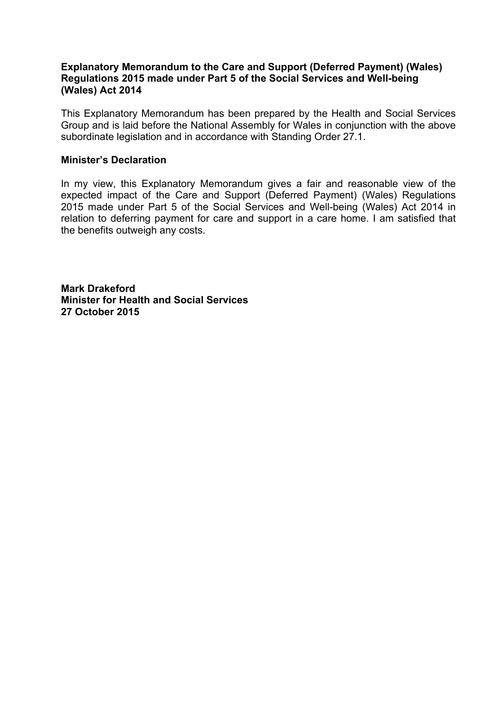#### **Explanatory Memorandum to the Care and Support (Deferred Payment) (Wales) Regulations 2015 made under Part 5 of the Social Services and Well-being (Wales) Act 2014**

This Explanatory Memorandum has been prepared by the Health and Social Services Group and is laid before the National Assembly for Wales in conjunction with the above subordinate legislation and in accordance with Standing Order 27.1.

#### **Minister's Declaration**

In my view, this Explanatory Memorandum gives a fair and reasonable view of the expected impact of the Care and Support (Deferred Payment) (Wales) Regulations 2015 made under Part 5 of the Social Services and Well-being (Wales) Act 2014 in relation to deferring payment for care and support in a care home. I am satisfied that the benefits outweigh any costs.

**Mark Drakeford Minister for Health and Social Services 27 October 2015**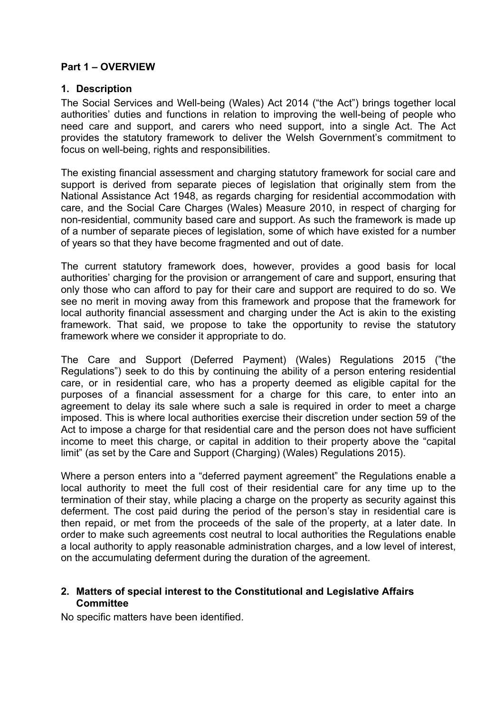## **Part 1 – OVERVIEW**

#### **1. Description**

The Social Services and Well-being (Wales) Act 2014 ("the Act") brings together local authorities' duties and functions in relation to improving the well-being of people who need care and support, and carers who need support, into a single Act. The Act provides the statutory framework to deliver the Welsh Government's commitment to focus on well-being, rights and responsibilities.

The existing financial assessment and charging statutory framework for social care and support is derived from separate pieces of legislation that originally stem from the National Assistance Act 1948, as regards charging for residential accommodation with care, and the Social Care Charges (Wales) Measure 2010, in respect of charging for non-residential, community based care and support. As such the framework is made up of a number of separate pieces of legislation, some of which have existed for a number of years so that they have become fragmented and out of date.

The current statutory framework does, however, provides a good basis for local authorities' charging for the provision or arrangement of care and support, ensuring that only those who can afford to pay for their care and support are required to do so. We see no merit in moving away from this framework and propose that the framework for local authority financial assessment and charging under the Act is akin to the existing framework. That said, we propose to take the opportunity to revise the statutory framework where we consider it appropriate to do.

The Care and Support (Deferred Payment) (Wales) Regulations 2015 ("the Regulations") seek to do this by continuing the ability of a person entering residential care, or in residential care, who has a property deemed as eligible capital for the purposes of a financial assessment for a charge for this care, to enter into an agreement to delay its sale where such a sale is required in order to meet a charge imposed. This is where local authorities exercise their discretion under section 59 of the Act to impose a charge for that residential care and the person does not have sufficient income to meet this charge, or capital in addition to their property above the "capital limit" (as set by the Care and Support (Charging) (Wales) Regulations 2015).

Where a person enters into a "deferred payment agreement" the Regulations enable a local authority to meet the full cost of their residential care for any time up to the termination of their stay, while placing a charge on the property as security against this deferment. The cost paid during the period of the person's stay in residential care is then repaid, or met from the proceeds of the sale of the property, at a later date. In order to make such agreements cost neutral to local authorities the Regulations enable a local authority to apply reasonable administration charges, and a low level of interest, on the accumulating deferment during the duration of the agreement.

## **2. Matters of special interest to the Constitutional and Legislative Affairs Committee**

No specific matters have been identified.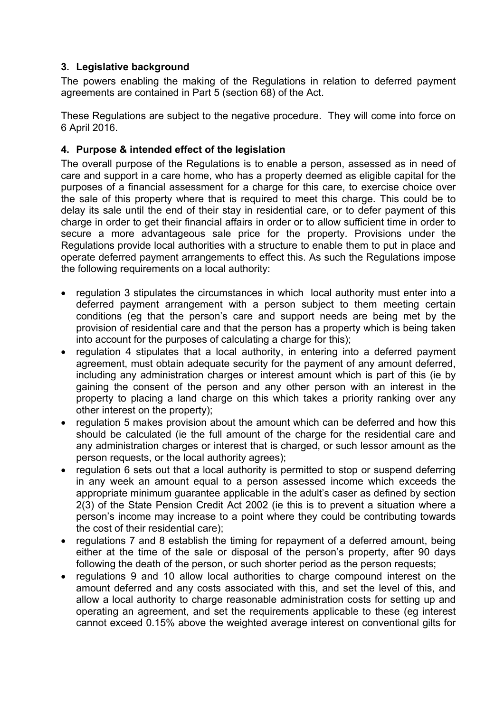# **3. Legislative background**

The powers enabling the making of the Regulations in relation to deferred payment agreements are contained in Part 5 (section 68) of the Act.

These Regulations are subject to the negative procedure. They will come into force on 6 April 2016.

# **4. Purpose & intended effect of the legislation**

The overall purpose of the Regulations is to enable a person, assessed as in need of care and support in a care home, who has a property deemed as eligible capital for the purposes of a financial assessment for a charge for this care, to exercise choice over the sale of this property where that is required to meet this charge. This could be to delay its sale until the end of their stay in residential care, or to defer payment of this charge in order to get their financial affairs in order or to allow sufficient time in order to secure a more advantageous sale price for the property. Provisions under the Regulations provide local authorities with a structure to enable them to put in place and operate deferred payment arrangements to effect this. As such the Regulations impose the following requirements on a local authority:

- regulation 3 stipulates the circumstances in which local authority must enter into a deferred payment arrangement with a person subject to them meeting certain conditions (eg that the person's care and support needs are being met by the provision of residential care and that the person has a property which is being taken into account for the purposes of calculating a charge for this);
- regulation 4 stipulates that a local authority, in entering into a deferred payment agreement, must obtain adequate security for the payment of any amount deferred, including any administration charges or interest amount which is part of this (ie by gaining the consent of the person and any other person with an interest in the property to placing a land charge on this which takes a priority ranking over any other interest on the property);
- regulation 5 makes provision about the amount which can be deferred and how this should be calculated (ie the full amount of the charge for the residential care and any administration charges or interest that is charged, or such lessor amount as the person requests, or the local authority agrees);
- regulation 6 sets out that a local authority is permitted to stop or suspend deferring in any week an amount equal to a person assessed income which exceeds the appropriate minimum guarantee applicable in the adult's caser as defined by section 2(3) of the State Pension Credit Act 2002 (ie this is to prevent a situation where a person's income may increase to a point where they could be contributing towards the cost of their residential care);
- regulations 7 and 8 establish the timing for repayment of a deferred amount, being either at the time of the sale or disposal of the person's property, after 90 days following the death of the person, or such shorter period as the person requests;
- regulations 9 and 10 allow local authorities to charge compound interest on the amount deferred and any costs associated with this, and set the level of this, and allow a local authority to charge reasonable administration costs for setting up and operating an agreement, and set the requirements applicable to these (eg interest cannot exceed 0.15% above the weighted average interest on conventional gilts for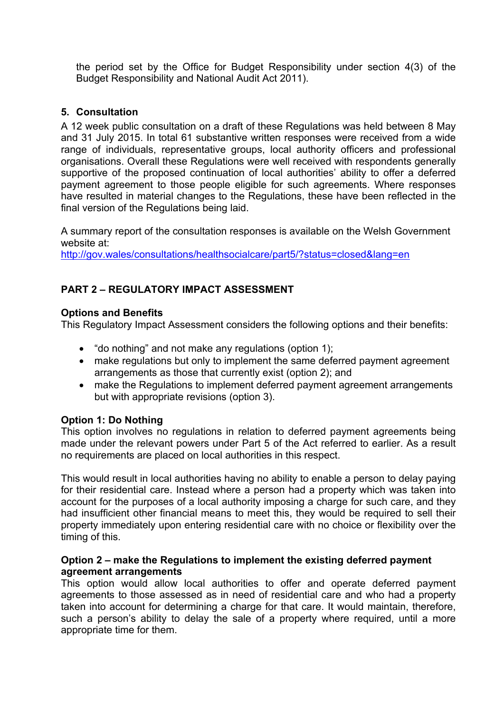the period set by the Office for Budget Responsibility under section 4(3) of the Budget Responsibility and National Audit Act 2011).

## **5. Consultation**

A 12 week public consultation on a draft of these Regulations was held between 8 May and 31 July 2015. In total 61 substantive written responses were received from a wide range of individuals, representative groups, local authority officers and professional organisations. Overall these Regulations were well received with respondents generally supportive of the proposed continuation of local authorities' ability to offer a deferred payment agreement to those people eligible for such agreements. Where responses have resulted in material changes to the Regulations, these have been reflected in the final version of the Regulations being laid.

A summary report of the consultation responses is available on the Welsh Government website at:

<http://gov.wales/consultations/healthsocialcare/part5/?status=closed&lang=en>

# **PART 2 – REGULATORY IMPACT ASSESSMENT**

#### **Options and Benefits**

This Regulatory Impact Assessment considers the following options and their benefits:

- "do nothing" and not make any regulations (option 1);
- make regulations but only to implement the same deferred payment agreement arrangements as those that currently exist (option 2); and
- make the Regulations to implement deferred payment agreement arrangements but with appropriate revisions (option 3).

#### **Option 1: Do Nothing**

This option involves no regulations in relation to deferred payment agreements being made under the relevant powers under Part 5 of the Act referred to earlier. As a result no requirements are placed on local authorities in this respect.

This would result in local authorities having no ability to enable a person to delay paying for their residential care. Instead where a person had a property which was taken into account for the purposes of a local authority imposing a charge for such care, and they had insufficient other financial means to meet this, they would be required to sell their property immediately upon entering residential care with no choice or flexibility over the timing of this.

#### **Option 2 – make the Regulations to implement the existing deferred payment agreement arrangements**

This option would allow local authorities to offer and operate deferred payment agreements to those assessed as in need of residential care and who had a property taken into account for determining a charge for that care. It would maintain, therefore, such a person's ability to delay the sale of a property where required, until a more appropriate time for them.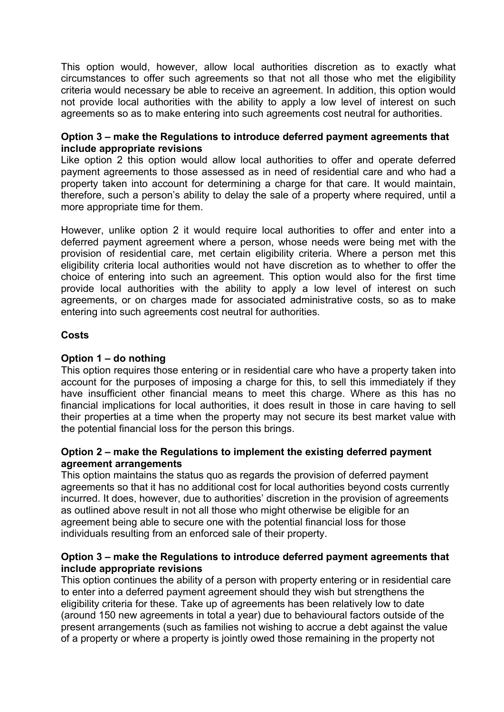This option would, however, allow local authorities discretion as to exactly what circumstances to offer such agreements so that not all those who met the eligibility criteria would necessary be able to receive an agreement. In addition, this option would not provide local authorities with the ability to apply a low level of interest on such agreements so as to make entering into such agreements cost neutral for authorities.

### **Option 3 – make the Regulations to introduce deferred payment agreements that include appropriate revisions**

Like option 2 this option would allow local authorities to offer and operate deferred payment agreements to those assessed as in need of residential care and who had a property taken into account for determining a charge for that care. It would maintain, therefore, such a person's ability to delay the sale of a property where required, until a more appropriate time for them.

However, unlike option 2 it would require local authorities to offer and enter into a deferred payment agreement where a person, whose needs were being met with the provision of residential care, met certain eligibility criteria. Where a person met this eligibility criteria local authorities would not have discretion as to whether to offer the choice of entering into such an agreement. This option would also for the first time provide local authorities with the ability to apply a low level of interest on such agreements, or on charges made for associated administrative costs, so as to make entering into such agreements cost neutral for authorities.

## **Costs**

## **Option 1 – do nothing**

This option requires those entering or in residential care who have a property taken into account for the purposes of imposing a charge for this, to sell this immediately if they have insufficient other financial means to meet this charge. Where as this has no financial implications for local authorities, it does result in those in care having to sell their properties at a time when the property may not secure its best market value with the potential financial loss for the person this brings.

## **Option 2 – make the Regulations to implement the existing deferred payment agreement arrangements**

This option maintains the status quo as regards the provision of deferred payment agreements so that it has no additional cost for local authorities beyond costs currently incurred. It does, however, due to authorities' discretion in the provision of agreements as outlined above result in not all those who might otherwise be eligible for an agreement being able to secure one with the potential financial loss for those individuals resulting from an enforced sale of their property.

## **Option 3 – make the Regulations to introduce deferred payment agreements that include appropriate revisions**

This option continues the ability of a person with property entering or in residential care to enter into a deferred payment agreement should they wish but strengthens the eligibility criteria for these. Take up of agreements has been relatively low to date (around 150 new agreements in total a year) due to behavioural factors outside of the present arrangements (such as families not wishing to accrue a debt against the value of a property or where a property is jointly owed those remaining in the property not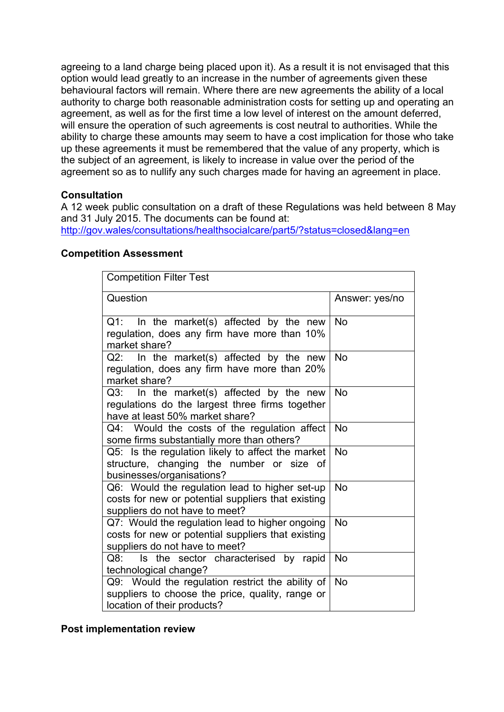agreeing to a land charge being placed upon it). As a result it is not envisaged that this option would lead greatly to an increase in the number of agreements given these behavioural factors will remain. Where there are new agreements the ability of a local authority to charge both reasonable administration costs for setting up and operating an agreement, as well as for the first time a low level of interest on the amount deferred, will ensure the operation of such agreements is cost neutral to authorities. While the ability to charge these amounts may seem to have a cost implication for those who take up these agreements it must be remembered that the value of any property, which is the subject of an agreement, is likely to increase in value over the period of the agreement so as to nullify any such charges made for having an agreement in place.

## **Consultation**

A 12 week public consultation on a draft of these Regulations was held between 8 May and 31 July 2015. The documents can be found at:

<http://gov.wales/consultations/healthsocialcare/part5/?status=closed&lang=en>

#### **Competition Assessment**

| <b>Competition Filter Test</b>                                                                                                          |                |
|-----------------------------------------------------------------------------------------------------------------------------------------|----------------|
| Question                                                                                                                                | Answer: yes/no |
| $Q1$ :<br>In the market(s) affected by the new<br>regulation, does any firm have more than 10%<br>market share?                         | <b>No</b>      |
| $Q2$ : In the market(s) affected by the new<br>regulation, does any firm have more than 20%<br>market share?                            | <b>No</b>      |
| $Q3$ : In the market(s) affected by the new<br>regulations do the largest three firms together<br>have at least 50% market share?       | <b>No</b>      |
| Q4: Would the costs of the regulation affect<br>some firms substantially more than others?                                              | <b>No</b>      |
| Q5: Is the regulation likely to affect the market<br>structure, changing the number or size of<br>businesses/organisations?             | <b>No</b>      |
| Q6: Would the regulation lead to higher set-up<br>costs for new or potential suppliers that existing<br>suppliers do not have to meet?  | <b>No</b>      |
| Q7: Would the regulation lead to higher ongoing<br>costs for new or potential suppliers that existing<br>suppliers do not have to meet? | <b>No</b>      |
| Is the sector characterised by rapid<br>Q8:<br>technological change?                                                                    | <b>No</b>      |
| Q9: Would the regulation restrict the ability of<br>suppliers to choose the price, quality, range or<br>location of their products?     | <b>No</b>      |

**Post implementation review**